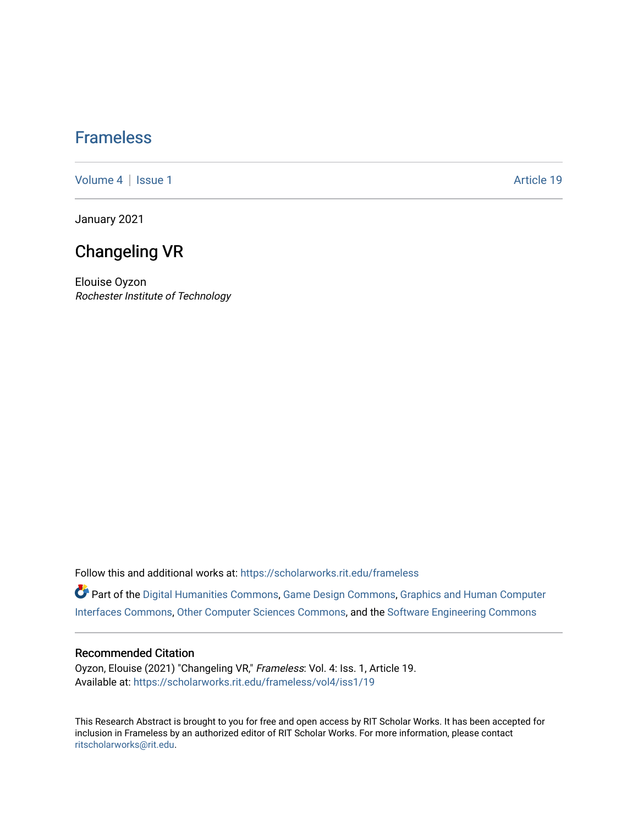## [Frameless](https://scholarworks.rit.edu/frameless)

[Volume 4](https://scholarworks.rit.edu/frameless/vol4) | [Issue 1](https://scholarworks.rit.edu/frameless/vol4/iss1) Article 19

January 2021

## Changeling VR

Elouise Oyzon Rochester Institute of Technology

Follow this and additional works at: [https://scholarworks.rit.edu/frameless](https://scholarworks.rit.edu/frameless?utm_source=scholarworks.rit.edu%2Fframeless%2Fvol4%2Fiss1%2F19&utm_medium=PDF&utm_campaign=PDFCoverPages)

Part of the [Digital Humanities Commons](https://network.bepress.com/hgg/discipline/1286?utm_source=scholarworks.rit.edu%2Fframeless%2Fvol4%2Fiss1%2F19&utm_medium=PDF&utm_campaign=PDFCoverPages), [Game Design Commons,](https://network.bepress.com/hgg/discipline/1133?utm_source=scholarworks.rit.edu%2Fframeless%2Fvol4%2Fiss1%2F19&utm_medium=PDF&utm_campaign=PDFCoverPages) [Graphics and Human Computer](https://network.bepress.com/hgg/discipline/146?utm_source=scholarworks.rit.edu%2Fframeless%2Fvol4%2Fiss1%2F19&utm_medium=PDF&utm_campaign=PDFCoverPages)  [Interfaces Commons](https://network.bepress.com/hgg/discipline/146?utm_source=scholarworks.rit.edu%2Fframeless%2Fvol4%2Fiss1%2F19&utm_medium=PDF&utm_campaign=PDFCoverPages), [Other Computer Sciences Commons,](https://network.bepress.com/hgg/discipline/152?utm_source=scholarworks.rit.edu%2Fframeless%2Fvol4%2Fiss1%2F19&utm_medium=PDF&utm_campaign=PDFCoverPages) and the [Software Engineering Commons](https://network.bepress.com/hgg/discipline/150?utm_source=scholarworks.rit.edu%2Fframeless%2Fvol4%2Fiss1%2F19&utm_medium=PDF&utm_campaign=PDFCoverPages)

#### Recommended Citation

Oyzon, Elouise (2021) "Changeling VR," Frameless: Vol. 4: Iss. 1, Article 19. Available at: [https://scholarworks.rit.edu/frameless/vol4/iss1/19](https://scholarworks.rit.edu/frameless/vol4/iss1/19?utm_source=scholarworks.rit.edu%2Fframeless%2Fvol4%2Fiss1%2F19&utm_medium=PDF&utm_campaign=PDFCoverPages) 

This Research Abstract is brought to you for free and open access by RIT Scholar Works. It has been accepted for inclusion in Frameless by an authorized editor of RIT Scholar Works. For more information, please contact [ritscholarworks@rit.edu](mailto:ritscholarworks@rit.edu).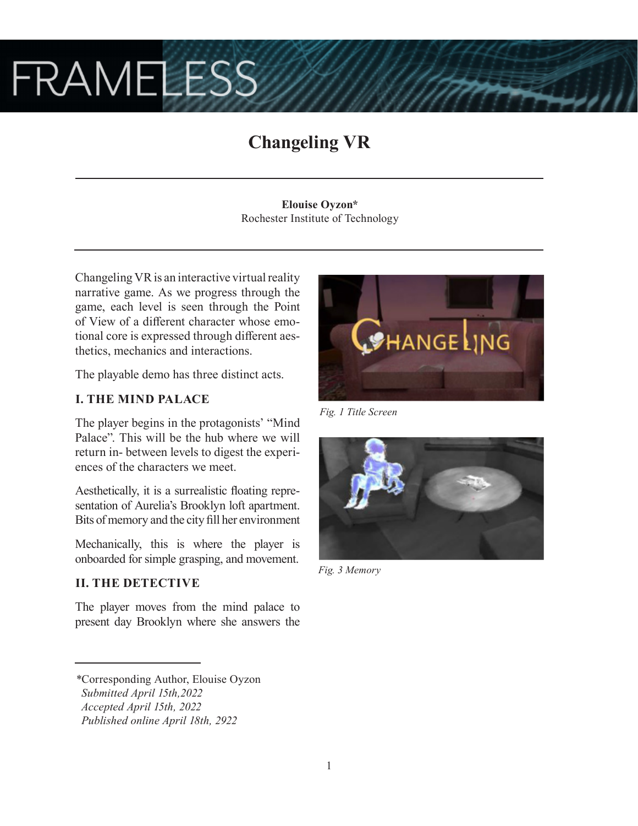# **FRAMELESS**

# **Changeling VR**

**Elouise Oyzon\*** Rochester Institute of Technology

Changeling VR is an interactive virtual reality narrative game. As we progress through the game, each level is seen through the Point of View of a different character whose emotional core is expressed through different aesthetics, mechanics and interactions.

The playable demo has three distinct acts.

## **I. THE MIND PALACE**

The player begins in the protagonists' "Mind Palace". This will be the hub where we will return in- between levels to digest the experiences of the characters we meet.

Aesthetically, it is a surrealistic floating representation of Aurelia's Brooklyn loft apartment. Bits of memory and the city fill her environment

Mechanically, this is where the player is onboarded for simple grasping, and movement.

## **II. THE DETECTIVE**

The player moves from the mind palace to present day Brooklyn where she answers the



*Fig. 1 Title Screen*



*Fig. 3 Memory*

*<sup>\*</sup>*Corresponding Author, Elouise Oyzon

*Submitted April 15th,2022*

*Accepted April 15th, 2022*

*Published online April 18th, 2922*